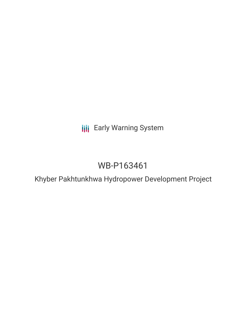**III** Early Warning System

# WB-P163461

Khyber Pakhtunkhwa Hydropower Development Project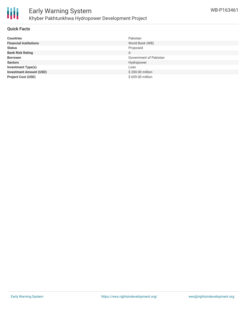



# **Quick Facts**

| <b>Countries</b>               | Pakistan               |
|--------------------------------|------------------------|
| <b>Financial Institutions</b>  | World Bank (WB)        |
| <b>Status</b>                  | Proposed               |
| <b>Bank Risk Rating</b>        | A                      |
| <b>Borrower</b>                | Government of Pakistan |
| <b>Sectors</b>                 | Hydropower             |
| <b>Investment Type(s)</b>      | Loan                   |
| <b>Investment Amount (USD)</b> | \$200.00 million       |
| <b>Project Cost (USD)</b>      | \$659,00 million       |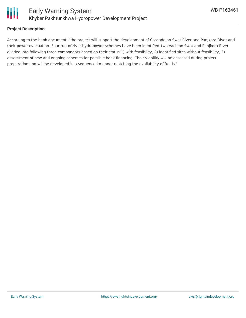

#### **Project Description**

According to the bank document, "the project will support the development of Cascade on Swat River and Panjkora River and their power evacuation. Four run-of-river hydropower schemes have been identified–two each on Swat and Panjkora River divided into following three components based on their status 1) with feasibility, 2) identified sites without feasibility, 3) assessment of new and ongoing schemes for possible bank financing. Their viability will be assessed during project preparation and will be developed in a sequenced manner matching the availability of funds."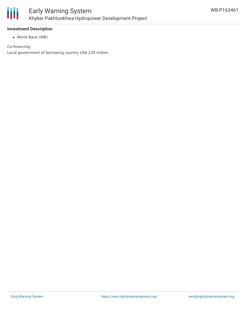

#### **Investment Description**

World Bank (WB)

Co-financing: Local government of borrowing country US\$ 129 million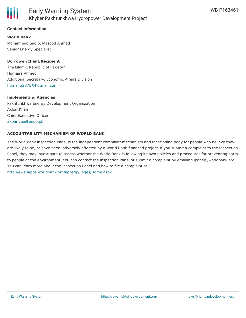

# **Contact Information**

**World Bank** Mohammad Saqib, Masood Ahmad Senior Energy Specialist

**Borrower/Client/Recipient** The Islamic Republic of Pakistan Humaira Ahmed Additional Secretary, Economic Affairs Division

[humaira2875@hotmail.com](mailto:humaira2875@hotmail.com)

#### **Implementing Agencies**

Pakhtunkhwa Energy Development Organization Akbar Khan Chief Executive Officer [akbar.ceo@pedo.pk](mailto:akbar.ceo@pedo.pk)

#### **ACCOUNTABILITY MECHANISM OF WORLD BANK**

The World Bank Inspection Panel is the independent complaint mechanism and fact-finding body for people who believe they are likely to be, or have been, adversely affected by a World Bank-financed project. If you submit a complaint to the Inspection Panel, they may investigate to assess whether the World Bank is following its own policies and procedures for preventing harm to people or the environment. You can contact the Inspection Panel or submit a complaint by emailing ipanel@worldbank.org. You can learn more about the Inspection Panel and how to file a complaint at: <http://ewebapps.worldbank.org/apps/ip/Pages/Home.aspx> .